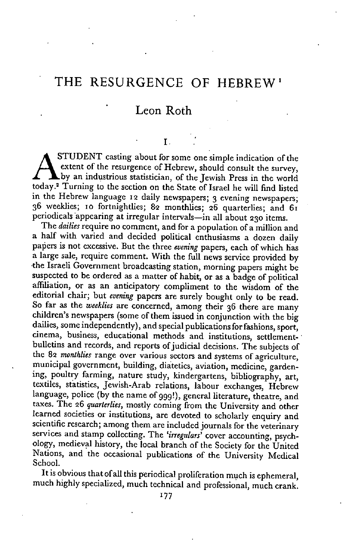# THE RESURGENCE OF HEBREW'

## Leon Roth

## T.

STUDENT casting about for some one simple indication of the extent of the resurgence of Hebrew, should consult the survey, by an industrious statistician, of the Jewish Press in the world today.2 Turning to the section on the State of Israel he will find listed in the Hebrew language 12 daily newspapers; 3 evening newspapers; 36 weeklies; 10 fortnightlies; 82 monthlies; 26 quarterlies; and 61 periodicals appcaring at irregular intervals—in all about 230 items.

The *dailies* require no comment, and for a population of a million and a half with varied and decided political enthusiasms a dozen daily papers is not excessive. But the three *evening* papers, each of which has a large sale, require comment. With the full news service provided by the Israeli Government broadcasting station, morning papers might be suspected to be ordered as a matter of habit, or as a badge of political affiliation, or as an anticipatory compliment to the wisdom of the editorial chair; but *evening* papers are surely bought only to be read. So far as the *weeklies* are concerned, among their 36 there are many children's newspapers (some of them issued in conjunction with the big dailies, some independently), and special publications for fashions, sport, cinema, business, educational methods and institutions, settlementbulletins and records, and reports of judicial decisions. The subjects of the 82 *monthlies* range over various sectors and systems of agriculture, municipal government, building, diatetics, aviation, medicine, gardening, poultry farming, nature study, kindergartens, bibliography, art, textiles, statistics, Jewish-Arab relations, labour exchanges, Hebrew language, police (by the name of ggg!), general literature, theatre, and taxes. The 26 *quarterlies,* mostly coming from the University and other learned societies or institutions, are devoted to scholarly enquiry and scientific research; among them are included journals for the veterinary services and stamp collecting. The *'irregulars'* cover accounting, psychology, medieval history, the local branch of the Society for the United Nations, and the occasional publications of the University Medical School.

It is obvious that of all this periodical proliferation much is ephemeral, much highly specialized, much technical and professional, much crank.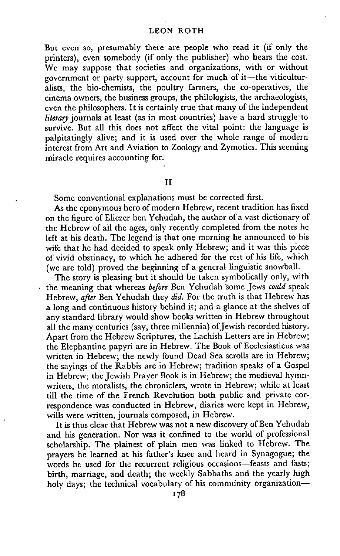## LEON ROTH

But even so, presumably there are people who read it (if only the printers), even somebody (if only the publisher) who bears the cost. We may suppose that societies and organizations, with or without government or party support, account for much of it—the viticulturalists, the bio-chemists, the poultry farmers, the co-operatives, the cinema owners, the business groups, the philologists, the archaeologists, even the philosophers. It is ccrtainly true that many of the independent *literary* journals at least (as in most countries) have a hard struggle to survive. But all this does not affect the vital point: the language is palpitatingly alive; and it is used over the whole range of modern interest from Art and Aviation to Zoology and Zymotics. This seeming miracle requires accounting for.

## II

Some conventional explanations must be corrected first.

As the eponymous hero of modern Hebrew, recent tradition has fixed on the figure of Eliezer ben Yehudah, the author of a vast dictionary of the Hebrew of all the ages, only recently completed from the notes he left at his death. The legend is that one morning he announced to his wife that he had decided to speak only Hebrew; and it was this piece of vivid obstinacy, to which he adhered for the rest of his life, which (we are told) proved the beginning of a general linguistic snowball.

The story is pleasing but it should be taken symbolically only, with the meaning that whereas *before* Ben Yehudah some Jews *could* speak Hebrew, *after* Ben Yehudah they *did.* For the truth is that Hebrew has a long and continuous history behind it; and a glance at the shelves of any standard library would show books written in Hebrew throughout all the many centuries (say, three millennia) of Jewish recorded history. Apart from the Hebrew Scriptures, the Lachish Letters are in Hebrew; the Elephantine papyri are in Hebrew. The Book of Ecclesiasticus was written in Hebrew; the newly found Dead Sea scrolls are in Hebrew; the sayings of the Rabbis are in Hebrew; tradition speaks of a Gospel in Hebrew; the Jewish Prayer Book is in Hebrew; the medieval hymnwriters, the moralists, the chroniclers, wrote in Hebrew; while at least till the time of the French Revolution both public and private correspondence was conducted in Hebrew, diaries were kept in Hebrew, wills were written, journals composed, in Hebrew.

It is thus clear that Hebrew was not a new discovery of Ben Yehudah and his generation. Nor was it confined to the world of professional scholarship. The plainest of plain men was linked to Hebrew. The prayers he learned at his father's knee and heard in Synagogue; the words he used for the recurrent religious occasions—feasts and fasts; birth, marriage, and death; the weekly Sabbaths and the yearly high holy days; the technical vocabulary of his community organization-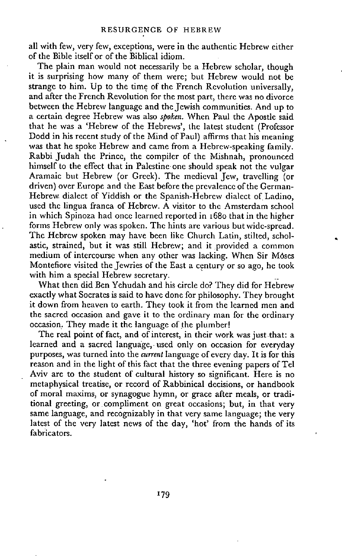all with few, very few, exceptions, were in the authentic Hebrew either of the Bible itself or of the Biblical idiom.

The plain man would not necessarily be a Hebrew scholar, though it is surprising how many of them were; but Hebrew would not be strange to him. Up to the time of the French Revolution universally, and after the French Revolution for the most part, there was no divorce between the Hebrew language and the Jewish communities. And up to a certain degree Hebrew was also *spoken.* When Paul the Apostle said that he was a 'Hebrew of the Hebrews', the latest student (Professor Dodd in his recent study of the Mind of Paul) affirms that his meaning was that he spoke Hebrew and came from a Hebrew-speaking family. Rabbi Judah the Prince, the compiler of the Mishnah, pronounced himself to the effect that in Palestine one should speak not the vulgar Aramaic but Hebrew (or Greek). The medieval Jew, travelling (or driven) over Europe and the East before the prevalence of the German-Hebrew dialect of Yiddish or the Spanish-Hebrew dialect of Ladino. used the lingua franca of Hebrew. A visitor to the Amsterdam school in which Spinoza had once learned reported in 168o that in the higher forms Hebrew only was spoken. The hints are various but wide-spread. The Hebrew spoken may have been like Church Latin, stilted, scholastic, strained, but it was still Hebrew; and it provided a common medium of intercourse when any other was lacking. When Sir Moses Montefiore visited the Jewries of the East a century or so ago, he took with him a special Hebrew secretary.

What then did Ben Yehudah and his circle do? They did for Hebrew exactly what Socrates is said to have done for philosophy. They brought it down from heaven to earth. They took it from the learned men and the sacred occasion and gave it to the ordinary man for the ordinary occasion. They made it the language of the plumber!

The real point of fact, and of interest, in their work was just that: a learned and a sacred language, used only on occasion for everyday purposes, was turned into the *current* language of every day. It is for this reason and in the light of this fact that the three evening papers of Tel Aviv are to the student of cultural history so significant. Here is no metaphysical treatise, or record of Rabbinical decisions, or handbook of moral maxims, or synagogue hymn, or grace after meals, or traditional greeting, or compliment on great occasions; but, in that very same language, and recognizably in that very same language; the very latest of the very latest news of the day, 'hot' from the hands of its fabricators.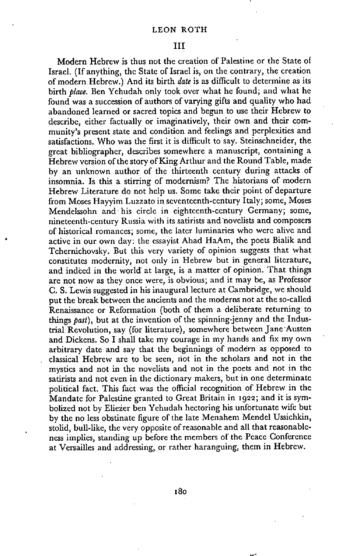Modern Hebrew is thus not the creation of Palestine or the State of Israel. (If anything, the State of Israel is, on the contrary, the creation of modern Hebrew.) And its birth *date* is as difficult to determine as its birth *place.* Ben Yehudah only took over what he found; and what he found was a succession of authors of varying gifts and quality who had abandoned learned or sacred topics and begun to use their Hebrew to describe, either factually or imaginatively, their own and their community's present state and condition and feelings and perplexities and satisfactions. Who was the first it is difficult to say. Steinschneider, the great bibliographer, describes somewhere a manuscript, containing a Hebrew version of the story of King Arthur and the Round Table, made by an unknown author of the thirteenth century during attacks of insomnia. Is this a stirring of modernism? The historians of modern Hebrew Literature do not help us. Some take their point of departure from Moses Hayyim Luzzato in seventeenth-century Italy; some, Moses Mendelssohn and his circle in eighteenth-century Germany; some, nineteenth-century Russia with its satirists and novelists and composers of historical romances; some, the latcr luminaries who were alive and active in our own day: the essayist Ahad HaAm, the poets Bialik and Tchernichovsky. But this very variety of opinion suggests that what constitutes modernity, not only in Hebrew but in general literature, and indeed in the world at large, is a matter of opinion. That things are not now as they once were, is obvious; and it may be, as Professor C. S. Lewis suggested in his inaugural lecture at Cambridge, we should put the break between the ancients and the moderns not at the so-called Renaissance or Reformation (both of them a deliberate returning to things *past),* but at the invention of the spinning-jenny and the Industrial Revolution, say (for literature), somewhere between Jane Austen and Dickens. So I shall take my courage in my hands and fix my own arbitrary date and say that the beginnings of modern as opposed to classical Hebrew are to be seen, riot in the scholars and not in the mystics and not in the novelists and not in the poets and not in the satirists and not even in the dictionary makers, but in one determinate political fact. This fact was the official recognition of Hebrew in the Mandate for Palestine granted to Great Britain in 1922; and it is symbolized not by Eliezer ben Yehudah hectoring his unfortunate wife but by the no less obstinate figure of the late Menahem Mendel Ussichkin, stolid, bull-like, the very opposite of reasonable and all that reasonableness implies, standing up before the members of the Peace Conference at Versailles and addressing, or rather haranguing, them in Hebrew.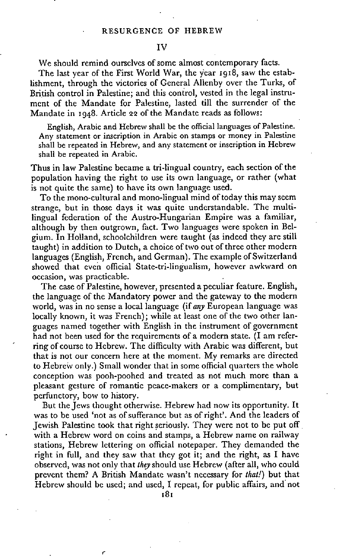## Iv

We should remind ourselves of some almost contemporary facts.

The last year of the First World War, the year 1918, saw the establishment, through the victories of General Allenby over the Turks, of British control in Palestine; and this control, vested in the legal instrumcnt of the Mandate for Palestine, lasted till the surrender of the Mandate in 1948. Article 22 of the Mandate reads as follows:

English, Arabic and Hebrew shall be the official languages of Palestine. Any statement or inscription in Arabic on stamps or money in Palestine shall be repeated in Hebrew, and any statement or inscription in Hebrew shall be repeated in Arabic.

Thus in law Palestine became a tri-lingual country, each section of the population having the right to use its own language, or rather (what is not quite the same) to have its own language used.

To the mono-cultural and mono-lingual mind of today this may seem strange, but in those days it was quite understandable. The multilingual federation of the Austro-Hungarian Empire was a familiar, although by then outgrown, fact. Two languages were spoken in Belgium. In Holland, schoolchildren were taught (as indeed they are still taught) in addition to Dutch, a choice of two out of three other modern languages (English, French, and German). The example of Switzerland showed that even official State-tri-lingualism, however awkward on occasion, was practicable.

The case of Palestine, however, presented a peculiar feature. English, the language of the Mandatory power and the gateway to the modern world, was in no sense a local language (if *any* European language was locally known, it was French); while at least one of the two other languages named together with English in the instrument of government had not been used for the requirements of a modern state. (I am referring of course to Hebrew. The difficulty with Arabic was different, but that is not our concern here at the moment. My remarks are directed to Hebrew only.) Small wonder that in some official quarters the whole conception was pooh-poohed and treated as not much more than a pleasant gesture of romantic peace-makers or a complimentary, but perfunctory, bow to history.

But the Jews thought otherwise. Hebrew had now its opportunity. It was to be used 'not as of sufferance but as of right'. And the leaders of Jewish Palestine took that right seriously. They were not to be put off with a Hebrew word on coins and stamps, a Hebrew name on railway stations, Hebrew lettering on official notepaper. They demanded the right in full, and they saw that they got it; and the right, as I have observed, was not only that *they* should use Hebrew (after all, who could prevent them? A British Mandate wasn't necessary for *that!)* but that Hebrew should be used; and used, I repeat, for public affairs, and not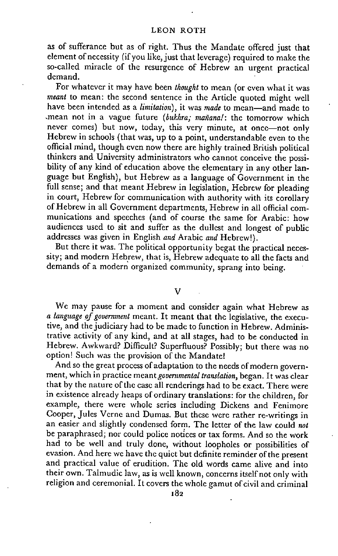## LEON ROTH

as of sufferance but as of right. Thus the Mandate offered just that element of necessity (if you like, just that leverage) required to make the so-called miracle of the resurgence of Hebrew an urgent practical demand.

For whatever it may have been *thought* to mean (or even what it was *meant* to mean: the second sentence in the Article quoted might well have been intended as a *limitation),* it was *made* to mean—and made to -mean not in a vague future *(bukhra; mañana!:* the tomorrow which never comes) but now, today, this very minute, at once—not only Hebrew in schools (that was, up to a point, understandable even to the official mind, though even now there are highly trained British political thinkers and University administrators who cannot conceive the possibility of any kind of education above the elementary in any other language but English), but Hebrew as a language of Government in the full sense; and that meant Hebrew in legislation, Hebrew for pleading in court, Hebrew for communication with authority with its corollary of Hebrew in all Government departments, Hebrew in all official communications and speeches (and of course the same for Arabic: how audiences used to sit and suffer as the dullest and longest of public addresses was given in English *and* Arabic *and* Hebrew!).

But there it was. The political opportunity begat the practical necessity; and modern Hebrew, that is, Hebrew adequate to all the facts and demands of a modern organized community, sprang into being.

#### V

We may pause for a moment and consider again what Hebrew as *a language of government* meant. It meant that the legislative, the executive, and the judiciary had to be made to function in Hebrew. Administrative activity of any kind, and at all stages, had to be conducted in Hebrew. Awkward? Difficult? Superfluous? Possibly; but there was no option! Such was the provision of the Mandate!

And so the great process of adaptation to the needs of modern government, which in practice meant *governmental translation,* began. It was clear that by the nature of the case all renderings had to be exact. There were in existence already heaps of ordinary translations: for the children, for example, there were whole series including Dickens and Fenimore Cooper, Jules Verne and Dumas. But these were rather re-writings in an easier and slightly condensed form. The letter of the law could *not*  be paraphrased; nor could police notices or tax forms. And so the work had to be well and truly done, without loopholes or possibilities of evasion. And here we have the quiet but definite reminder of the present and practical value of erudition. The old words came alive and into their own. Talmudic law, as is well known, concerns itself not only with religion and ceremonial. It covers the whole gamut of civil and criminal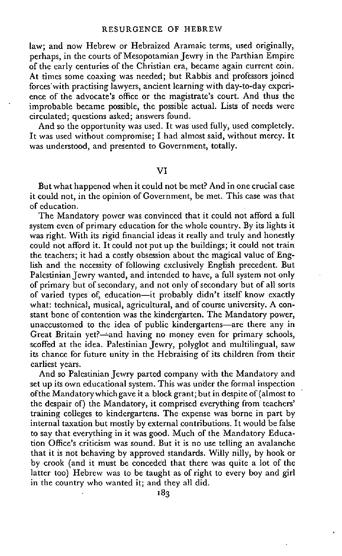law; and now Hebrew or Hebraized Aramaic terms, used originally, perhaps, in the courts of Mesopotamian Jewry in the Parthian Empire of the early centuries of the Christian era, became again current coin. At times some coaxing was needed; but Rabbis and professors joined forces with practising lawyers, ancient learning with day-to-day experience of the advocate's office or the magistrate's court. And thus the improbable became possible, the possible actual. Lists of needs were circulated; questions asked; answers found.

And so the opportunity was used. It was used fully, used completely. It was used without compromise; I had almost said, without mercy. It was understood, and presented to Government, totally.

## VI

But what happened when it could not be met? And in one crucial case it could not, in the opinion of Government, be met. This case was that of education.

The Mandatory power was convinced that it could not afford a full system even of primary education for the whole country. By its lights it was right. With its rigid financial ideas it really and truly and honestly could not afford it. It could not put up the buildings; it could not train the teachers; it had a costly obsession about the magical value of English and the necessity of following exclusively English precedent. But Palestinian Jewry wanted, and intended to have, a full system not only of primary but of secondary, and not only of secondary but of all sorts of varied types of; education—it probably didn't itself know exactly what: technical, musical, agricultural, and of course university. A constant bone of contention was the kindergarten. The Mandatory power, unaccustomed to the idea of public kindergartens—are there any in Great Britain yet?—and having no money even for primary schools, scoffed at the idea. Palestinian Jewry, polyglot and multilingual, saw its chance for future unity in the Hebraising of its children from their earliest years.

And so Palestinian Jewry parted company with the Mandatory and set up its own educational system. This was under the formal inspection ofthe Mandatory which gave it a block grant; but in despite of (almost to the despair of) the Mandatory, it comprised everything from teachers' training colleges to kindergartens. The expense was borne in part by internal taxation but mostly by external contributions. It would be false to say that everything in it was good. Much of the Mandatory Education Office's criticism was sound. But it is no use telling an avalanche that it is not behaving by approved standards. Willy nilly, by hook or by crook (and it must be conceded that there was quite a lot of the latter too) Hebrew was to be taught as of right to every boy and girl in the country who wanted it; and they all did.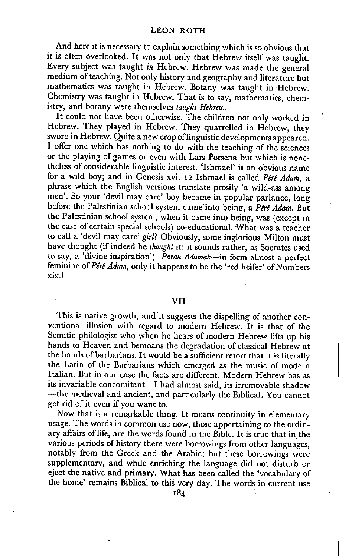## LEON ROTH

And here it is necessary to explain something which is so obvious that it is often overlooked. It was not only that Hebrew itself was taught. Every subject was taught *in* Hebrew. Hebrew was made the general medium of teaching. Not only history and geography and literature but mathematics was taught in Hebrew. Botany was taught in Hebrew. Chemistry was taught in Hebrew. That is to say, mathematics, chemistry, and botany were themselves *taught Hebrew.* 

It could not have been otherwise. The children not only worked in Hebrew. They played in Hebrew. They quarrelled in Hebrew, they swore in Hebrew. Quite a new crop of linguistic developments appeared. I offer one which has nothing to do with the teaching of the sciences or the playing of games or even with Lars Porsena but which is nonetheless of considerable linguistic interest. 'Ishmael' is an obvious name for a wild boy; and in Genesis xvi. **12** Ishmael is called *PerB Adam,* a phrase which the English versions translate prosily 'a wild-ass among men'. So your 'devil may care' boy became in popular parlance, long before the Palestinian school system came into being, a *Péré Adam.* But the Palestinian school system, when it came into being, was (except in the case of certain special schools) co-educational. What was a teacher to call a 'devil may care' *girl?* Obviously, some inglorious Milton must have thought (if indeed he *thought* it; it sounds rather, as Socrates used to say, a 'divine inspiration'): *Parah Adumah*—in form almost a perfect feminine of *Pérê Adam*, only it happens to be the 'red heifer' of Numbers xix.!

## VII

This is native growth, and it suggests the dispelling of another conventional illusion with regard to modern Hebrew. It is that of the Semitic philologist who when he hears of modern Hebrew lifts up his hands to Heaven and bemoans the degradation of classical Hebrew at the hands of barbarians. It would be a sufficient retort that it is literally the Latin of the Barbarians which emerged as the music of modern Italian. But in our case the facts are different. Modern Hebrew has as its invariable concomitant—I had almost said, its irremovable shadow —the medieval and ancient, and particularly the Biblical. You cannot get rid of it even if you want to.

Now that is a remarkable thing. It means continuity in elementary usage. The words in common use now, those appertaining to the ordinary affairs of life, are the words found in the Bible. It is true that in the various periods of history there were borrowings from other languages, notably from the Greek and the Arabic; but these borrowings were supplementary, and while enriching the language did not disturb or eject the native and primary. What has been called the 'vocabulary of the home' remains Biblical to this very day. The words in current use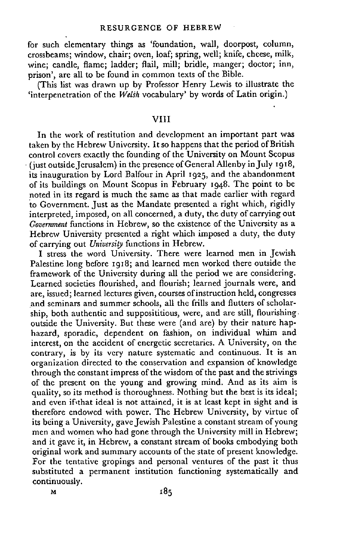## RESURGENCE OF HEBREW

for such elementary things as 'foundation, wall, doorpost, column, crossbeams; window, chair; oven, loaf; spring, well; knife, cheese, milk, wine; candle, flame; ladder; flail, mill; bridle, manger; doctor; inn, prison', are all to be found in common texts of the Bible.

(This list was drawn up by Professor Henry Lewis to illustrate the 'interpenetration of the *WeLth* vocabulary' by words of Latin origin.)

## $VIII$

In the work of restitution and development an important part was taken by the Hebrew University. It so happens that the period of British control covers exactly the founding of the University on Mount Scopus (just outside Jerusalem) in the presence of General Allenby in July 1918, its inauguration by Lord Balfour in April 1925, and the abandonment of its buildings on Mount Scopus in February 1948. The point to be noted in its regard is much the same as that made earlier with regard to Government. Just as the Mandate presented a right which, rigidly interpreted, imposed, on all concerned, a duty, the duty of carrying out *Government* functions in Hebrew, so the existence of the University as a Hebrew University presented a right which imposed a duty, the duty of carrying out *University* functions in Hebrew.

I stress the word University. There were learned men in Jewish Palestine long before 1918; and learned men worked there outside the framework of the University during all the period we are considering. Learned societies flourished, and flourish; learned journals were, and are, issued; learned lectures given, courses of instruction held, congresses and seminars and summer schools, all the frills and flutters of scholarship, both authentic and supposititious, were, and are still, flourishing. outside the University. But these were (and are) by their nature haphazard, sporadic, dependent on fashion, on individual whim and interest, on the accident of energetic secretaries. A University, on the contrary, is by its very nature systematic and continuous. It is an organization directed to the conservation and expansion of knowledge through the constant impress of the wisdom of the past and the strivings of the present on the young and growing mind. And as its aim is quality, so its method is thoroughness. Nothing but the best is its ideal; and even if'that ideal is not attained, it is at least kept in sight and is therefore endowed with power. The Hebrew University, by virtue of its being a University, gave Jewish Palestine a constant stream of young men and women who had gone through the University mill in Hebrew; and it gave it, in Hebrew, a constant stream of books embodying both original work and summary accounts of the state of present knowledge. For the tentative gropings and personal ventures of the past it thus substituted a permanent institution functioning systematically and continuously.

M